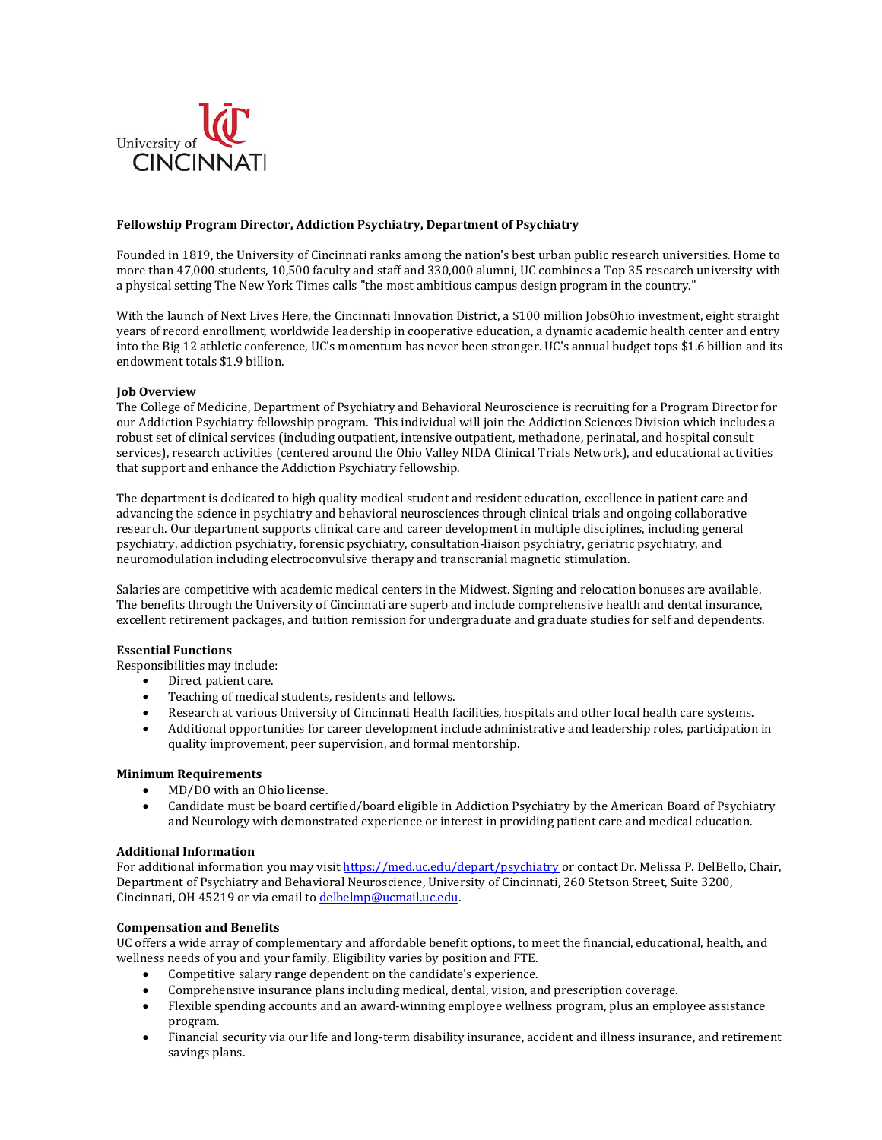

### **Fellowship Program Director, Addiction Psychiatry, Department of Psychiatry**

Founded in 1819, the University of Cincinnati ranks among the nation's best urban public research universities. Home to more than 47,000 students, 10,500 faculty and staff and 330,000 alumni, UC combines a Top 35 research university with a physical setting The New York Times calls "the most ambitious campus design program in the country."

With the launch of Next Lives Here, the Cincinnati Innovation District, a \$100 million JobsOhio investment, eight straight years of record enrollment, worldwide leadership in cooperative education, a dynamic academic health center and entry into the Big 12 athletic conference, UC's momentum has never been stronger. UC's annual budget tops \$1.6 billion and its endowment totals \$1.9 billion.

## **Job Overview**

The College of Medicine, Department of Psychiatry and Behavioral Neuroscience is recruiting for a Program Director for our Addiction Psychiatry fellowship program. This individual will join the Addiction Sciences Division which includes a robust set of clinical services (including outpatient, intensive outpatient, methadone, perinatal, and hospital consult services), research activities (centered around the Ohio Valley NIDA Clinical Trials Network), and educational activities that support and enhance the Addiction Psychiatry fellowship.

The department is dedicated to high quality medical student and resident education, excellence in patient care and advancing the science in psychiatry and behavioral neurosciences through clinical trials and ongoing collaborative research. Our department supports clinical care and career development in multiple disciplines, including general psychiatry, addiction psychiatry, forensic psychiatry, consultation-liaison psychiatry, geriatric psychiatry, and neuromodulation including electroconvulsive therapy and transcranial magnetic stimulation.

Salaries are competitive with academic medical centers in the Midwest. Signing and relocation bonuses are available. The benefits through the University of Cincinnati are superb and include comprehensive health and dental insurance, excellent retirement packages, and tuition remission for undergraduate and graduate studies for self and dependents.

## **Essential Functions**

Responsibilities may include:

- Direct patient care.
- Teaching of medical students, residents and fellows.
- Research at various University of Cincinnati Health facilities, hospitals and other local health care systems.
- Additional opportunities for career development include administrative and leadership roles, participation in quality improvement, peer supervision, and formal mentorship.

## **Minimum Requirements**

- MD/DO with an Ohio license.
- Candidate must be board certified/board eligible in Addiction Psychiatry by the American Board of Psychiatry and Neurology with demonstrated experience or interest in providing patient care and medical education.

#### **Additional Information**

For additional information you may visi[t https://med.uc.edu/depart/psychiatry](https://med.uc.edu/depart/psychiatry) or contact Dr. Melissa P. DelBello, Chair, Department of Psychiatry and Behavioral Neuroscience, University of Cincinnati, 260 Stetson Street, Suite 3200, Cincinnati, OH 45219 or via email t[o delbelmp@ucmail.uc.edu.](mailto:delbelmp@ucmail.uc.edu)

#### **Compensation and Benefits**

UC offers a wide array of complementary and affordable benefit options, to meet the financial, educational, health, and wellness needs of you and your family. Eligibility varies by position and FTE.

- Competitive salary range dependent on the candidate's experience.
- Comprehensive insurance plans including medical, dental, vision, and prescription coverage.
- Flexible spending accounts and an award-winning employee wellness program, plus an employee assistance program.
- Financial security via our life and long-term disability insurance, accident and illness insurance, and retirement savings plans.